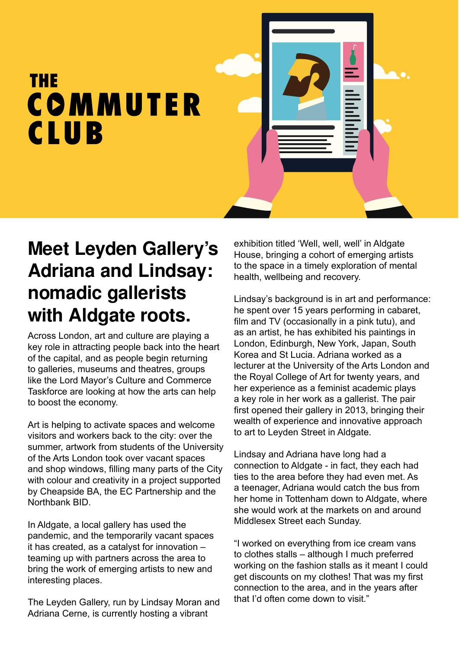## **THE** COMMUTER **CLUB**

## **Meet Leyden Gallery's Adriana and Lindsay: nomadic gallerists with Aldgate roots.**

Across London, art and culture are playing a key role in attracting people back into the heart of the capital, and as people begin returning to galleries, museums and theatres, groups like the Lord Mayor's Culture and Commerce Taskforce are looking at how the arts can help to boost the economy.

Art is helping to activate spaces and welcome visitors and workers back to the city: over the summer, artwork from students of the University of the Arts London took over vacant spaces and shop windows, filling many parts of the City with colour and creativity in a project supported by Cheapside BA, the EC Partnership and the Northbank BID.

In Aldgate, a local gallery has used the pandemic, and the temporarily vacant spaces it has created, as a catalyst for innovation – teaming up with partners across the area to bring the work of emerging artists to new and interesting places.

The Leyden Gallery, run by Lindsay Moran and Adriana Cerne, is currently hosting a vibrant

exhibition titled 'Well, well, well' in Aldgate House, bringing a cohort of emerging artists to the space in a timely exploration of mental health, wellbeing and recovery.

Lindsay's background is in art and performance: he spent over 15 years performing in cabaret, film and TV (occasionally in a pink tutu), and as an artist, he has exhibited his paintings in London, Edinburgh, New York, Japan, South Korea and St Lucia. Adriana worked as a lecturer at the University of the Arts London and the Royal College of Art for twenty years, and her experience as a feminist academic plays a key role in her work as a gallerist. The pair first opened their gallery in 2013, bringing their wealth of experience and innovative approach to art to Leyden Street in Aldgate.

Lindsay and Adriana have long had a connection to Aldgate - in fact, they each had ties to the area before they had even met. As a teenager, Adriana would catch the bus from her home in Tottenham down to Aldgate, where she would work at the markets on and around Middlesex Street each Sunday.

"I worked on everything from ice cream vans to clothes stalls – although I much preferred working on the fashion stalls as it meant I could get discounts on my clothes! That was my first connection to the area, and in the years after that I'd often come down to visit."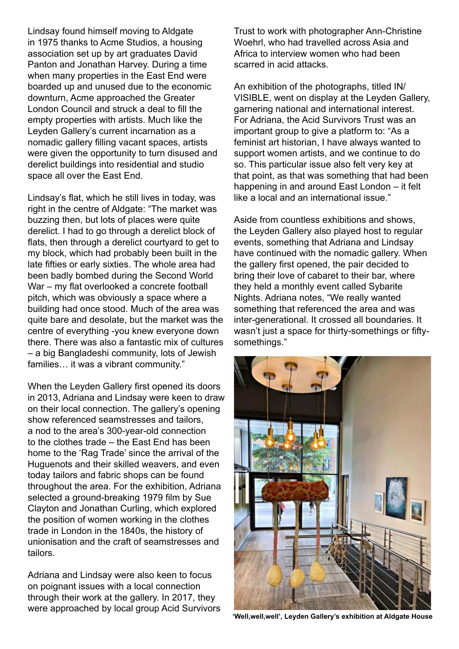Lindsay found himself moving to Aldgate in 1975 thanks to Acme Studios, a housing association set up by art graduates David Panton and Jonathan Harvey. During a time when many properties in the East End were boarded up and unused due to the economic downturn, Acme approached the Greater London Council and struck a deal to fill the empty properties with artists. Much like the Leyden Gallery's current incarnation as a nomadic gallery filling vacant spaces, artists were given the opportunity to turn disused and derelict buildings into residential and studio space all over the East End.

Lindsay's flat, which he still lives in today, was right in the centre of Aldgate: "The market was buzzing then, but lots of places were quite derelict. I had to go through a derelict block of flats, then through a derelict courtyard to get to my block, which had probably been built in the late fifties or early sixties. The whole area had been badly bombed during the Second World War – my flat overlooked a concrete football pitch, which was obviously a space where a building had once stood. Much of the area was quite bare and desolate, but the market was the centre of everything -you knew everyone down there. There was also a fantastic mix of cultures – a big Bangladeshi community, lots of Jewish families… it was a vibrant community."

When the Leyden Gallery first opened its doors in 2013, Adriana and Lindsay were keen to draw on their local connection. The gallery's opening show referenced seamstresses and tailors, a nod to the area's 300-year-old connection to the clothes trade – the East End has been home to the 'Rag Trade' since the arrival of the Huguenots and their skilled weavers, and even today tailors and fabric shops can be found throughout the area. For the exhibition, Adriana selected a ground-breaking 1979 film by Sue Clayton and Jonathan Curling, which explored the position of women working in the clothes trade in London in the 1840s, the history of unionisation and the craft of seamstresses and tailors.

Adriana and Lindsay were also keen to focus on poignant issues with a local connection through their work at the gallery. In 2017, they were approached by local group Acid Survivors Trust to work with photographer Ann-Christine Woehrl, who had travelled across Asia and Africa to interview women who had been scarred in acid attacks.

An exhibition of the photographs, titled IN/ VISIBLE, went on display at the Leyden Gallery, garnering national and international interest. For Adriana, the Acid Survivors Trust was an important group to give a platform to: "As a feminist art historian, I have always wanted to support women artists, and we continue to do so. This particular issue also felt very key at that point, as that was something that had been happening in and around East London – it felt like a local and an international issue."

Aside from countless exhibitions and shows, the Leyden Gallery also played host to regular events, something that Adriana and Lindsay have continued with the nomadic gallery. When the gallery first opened, the pair decided to bring their love of cabaret to their bar, where they held a monthly event called Sybarite Nights. Adriana notes, "We really wanted something that referenced the area and was inter-generational. It crossed all boundaries. It wasn't just a space for thirty-somethings or fiftysomethings."



**'Well,well,well', Leyden Gallery's exhibition at Aldgate House**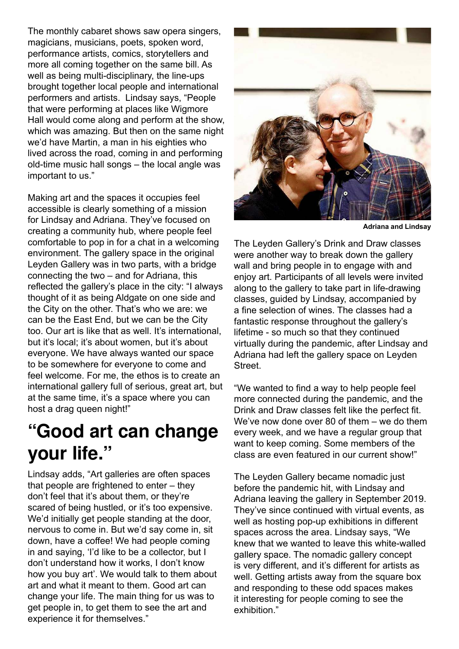The monthly cabaret shows saw opera singers, magicians, musicians, poets, spoken word, performance artists, comics, storytellers and more all coming together on the same bill. As well as being multi-disciplinary, the line-ups brought together local people and international performers and artists. Lindsay says, "People that were performing at places like Wigmore Hall would come along and perform at the show, which was amazing. But then on the same night we'd have Martin, a man in his eighties who lived across the road, coming in and performing old-time music hall songs – the local angle was important to us."

Making art and the spaces it occupies feel accessible is clearly something of a mission for Lindsay and Adriana. They've focused on creating a community hub, where people feel comfortable to pop in for a chat in a welcoming environment. The gallery space in the original Leyden Gallery was in two parts, with a bridge connecting the two – and for Adriana, this reflected the gallery's place in the city: "I always thought of it as being Aldgate on one side and the City on the other. That's who we are: we can be the East End, but we can be the City too. Our art is like that as well. It's international, but it's local; it's about women, but it's about everyone. We have always wanted our space to be somewhere for everyone to come and feel welcome. For me, the ethos is to create an international gallery full of serious, great art, but at the same time, it's a space where you can host a drag queen night!"

## **"Good art can change your life."**

Lindsay adds, "Art galleries are often spaces that people are frightened to enter – they don't feel that it's about them, or they're scared of being hustled, or it's too expensive. We'd initially get people standing at the door, nervous to come in. But we'd say come in, sit down, have a coffee! We had people coming in and saying, 'I'd like to be a collector, but I don't understand how it works, I don't know how you buy art'. We would talk to them about art and what it meant to them. Good art can change your life. The main thing for us was to get people in, to get them to see the art and experience it for themselves."



**Adriana and Lindsay**

The Leyden Gallery's Drink and Draw classes were another way to break down the gallery wall and bring people in to engage with and enjoy art. Participants of all levels were invited along to the gallery to take part in life-drawing classes, guided by Lindsay, accompanied by a fine selection of wines. The classes had a fantastic response throughout the gallery's lifetime - so much so that they continued virtually during the pandemic, after Lindsay and Adriana had left the gallery space on Leyden Street.

"We wanted to find a way to help people feel more connected during the pandemic, and the Drink and Draw classes felt like the perfect fit. We've now done over 80 of them – we do them every week, and we have a regular group that want to keep coming. Some members of the class are even featured in our current show!"

The Leyden Gallery became nomadic just before the pandemic hit, with Lindsay and Adriana leaving the gallery in September 2019. They've since continued with virtual events, as well as hosting pop-up exhibitions in different spaces across the area. Lindsay says, "We knew that we wanted to leave this white-walled gallery space. The nomadic gallery concept is very different, and it's different for artists as well. Getting artists away from the square box and responding to these odd spaces makes it interesting for people coming to see the exhibition."